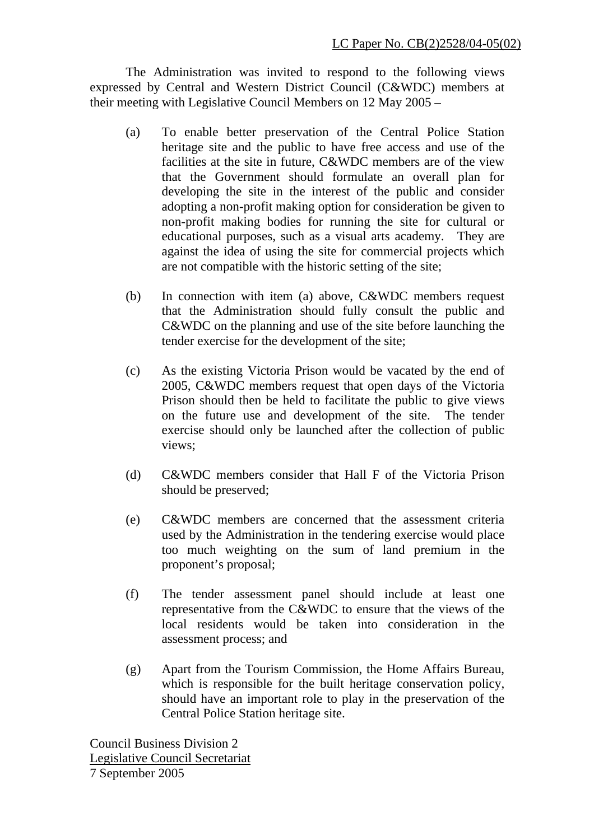The Administration was invited to respond to the following views expressed by Central and Western District Council (C&WDC) members at their meeting with Legislative Council Members on 12 May 2005 –

- (a) To enable better preservation of the Central Police Station heritage site and the public to have free access and use of the facilities at the site in future, C&WDC members are of the view that the Government should formulate an overall plan for developing the site in the interest of the public and consider adopting a non-profit making option for consideration be given to non-profit making bodies for running the site for cultural or educational purposes, such as a visual arts academy. They are against the idea of using the site for commercial projects which are not compatible with the historic setting of the site;
- (b) In connection with item (a) above, C&WDC members request that the Administration should fully consult the public and C&WDC on the planning and use of the site before launching the tender exercise for the development of the site;
- (c) As the existing Victoria Prison would be vacated by the end of 2005, C&WDC members request that open days of the Victoria Prison should then be held to facilitate the public to give views on the future use and development of the site. The tender exercise should only be launched after the collection of public views;
- (d) C&WDC members consider that Hall F of the Victoria Prison should be preserved;
- (e) C&WDC members are concerned that the assessment criteria used by the Administration in the tendering exercise would place too much weighting on the sum of land premium in the proponent's proposal;
- (f) The tender assessment panel should include at least one representative from the C&WDC to ensure that the views of the local residents would be taken into consideration in the assessment process; and
- (g) Apart from the Tourism Commission, the Home Affairs Bureau, which is responsible for the built heritage conservation policy, should have an important role to play in the preservation of the Central Police Station heritage site.

Council Business Division 2 Legislative Council Secretariat 7 September 2005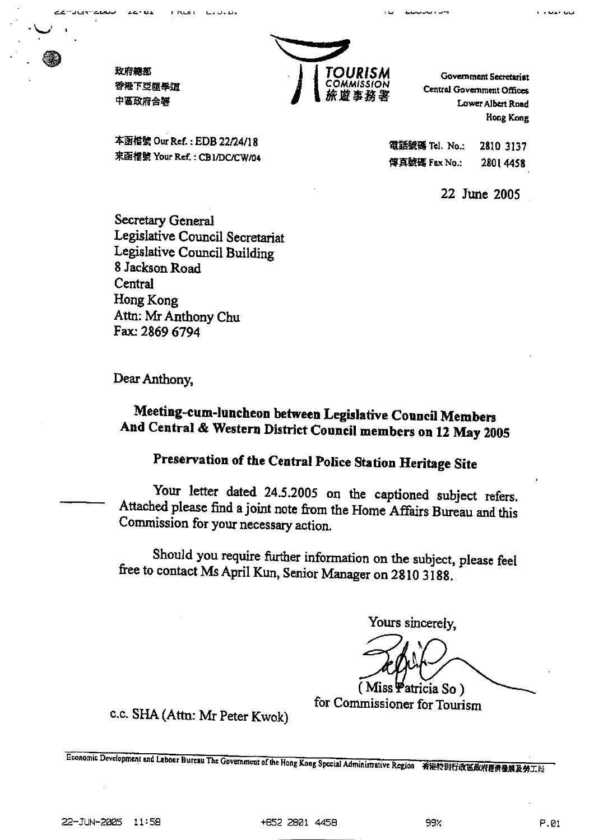本函楷號 Our Ref.: EDB 22/24/18

来函檔號 Your Ref.: CB1/DC/CW/04

政府總部 香港下亞厘畢道 中區政府合署

المتعاصر



**Government Secretariat** Central Government Offices Lower Albert Road Hong Kong

電話號碼 Tel. No.: 2810 3137 傳真號碼 Fax No.: 2801 4458

22 June 2005

Secretary General Legislative Council Secretariat Legislative Council Building 8 Jackson Road Central Hong Kong Attn: Mr Anthony Chu Fax: 2869 6794

Dear Anthony.

## Meeting-cum-luncheon between Legislative Council Members And Central & Western District Council members on 12 May 2005

# Preservation of the Central Police Station Heritage Site

Your letter dated 24.5.2005 on the captioned subject refers. Attached please find a joint note from the Home Affairs Bureau and this Commission for your necessary action.

Should you require further information on the subject, please feel free to contact Ms April Kun, Senior Manager on 2810 3188.

Yours sincerely,

(Miss Patricia So)

for Commissioner for Tourism

c.c. SHA (Attn: Mr Peter Kwok)

Economic Development and Labour Burcau The Government of the Hong Kong Special Administrative Region 香港特别行政區政府經濟登限及努工局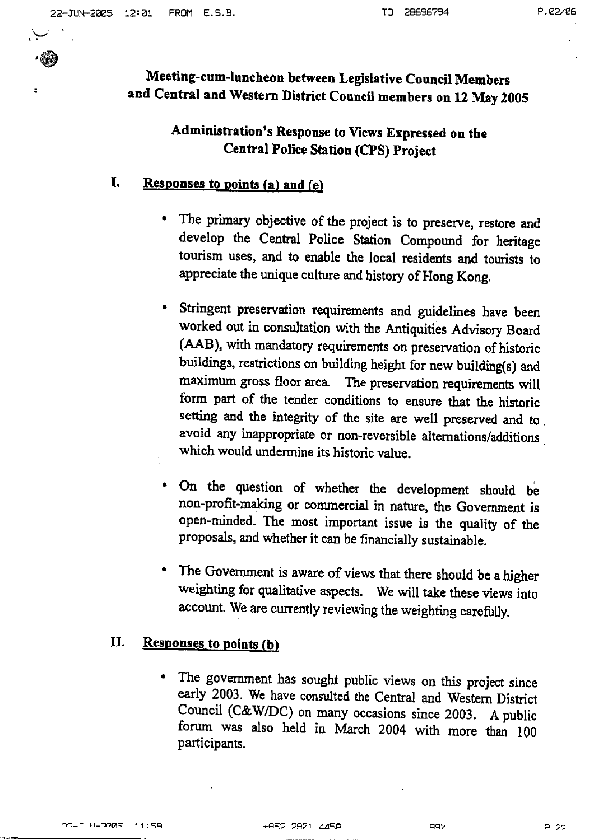$\overline{z}$ 

## Meeting-cum-luncheon between Legislative Council Members and Central and Western District Council members on 12 May 2005

### Administration's Response to Views Expressed on the **Central Police Station (CPS) Project**

#### $\mathbf{I}$ Responses to points (a) and (e)

- The primary objective of the project is to preserve, restore and develop the Central Police Station Compound for heritage tourism uses, and to enable the local residents and tourists to appreciate the unique culture and history of Hong Kong.
- Stringent preservation requirements and guidelines have been  $\bullet$ worked out in consultation with the Antiquities Advisory Board (AAB), with mandatory requirements on preservation of historic buildings, restrictions on building height for new building(s) and maximum gross floor area. The preservation requirements will form part of the tender conditions to ensure that the historic setting and the integrity of the site are well preserved and to avoid any inappropriate or non-reversible alternations/additions which would undermine its historic value.
- On the question of whether the development should be non-profit-making or commercial in nature, the Government is open-minded. The most important issue is the quality of the proposals, and whether it can be financially sustainable.
- The Government is aware of views that there should be a higher weighting for qualitative aspects. We will take these views into account. We are currently reviewing the weighting carefully.

### TI. **Responses to points (b)**

The government has sought public views on this project since  $\bullet$ early 2003. We have consulted the Central and Western District Council (C&W/DC) on many occasions since 2003. A public forum was also held in March 2004 with more than 100 participants.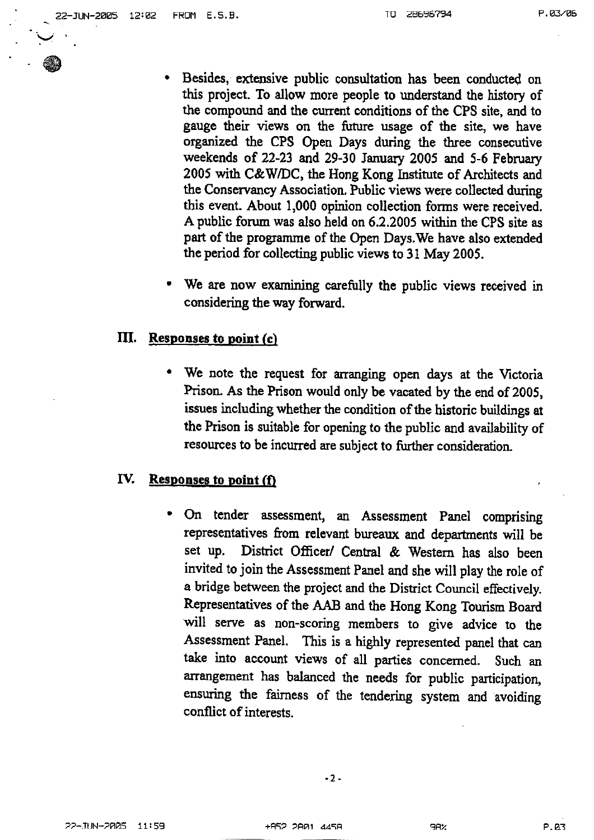- Besides, extensive public consultation has been conducted on this project. To allow more people to understand the history of the compound and the current conditions of the CPS site, and to gauge their views on the future usage of the site, we have organized the CPS Open Days during the three consecutive weekends of 22-23 and 29-30 January 2005 and 5-6 February 2005 with C&W/DC, the Hong Kong Institute of Architects and the Conservancy Association. Public views were collected during this event. About 1,000 opinion collection forms were received. A public forum was also held on 6.2.2005 within the CPS site as part of the programme of the Open Days. We have also extended the period for collecting public views to 31 May 2005.
- We are now examining carefully the public views received in considering the way forward.

### III. Responses to point (c)

• We note the request for arranging open days at the Victoria Prison. As the Prison would only be vacated by the end of 2005. issues including whether the condition of the historic buildings at the Prison is suitable for opening to the public and availability of resources to be incurred are subject to further consideration.

#### IV. **Responses to point (f)**

• On tender assessment, an Assessment Panel comprising representatives from relevant bureaux and departments will be set up. District Officer/ Central & Western has also been invited to join the Assessment Panel and she will play the role of a bridge between the project and the District Council effectively. Representatives of the AAB and the Hong Kong Tourism Board will serve as non-scoring members to give advice to the Assessment Panel. This is a highly represented panel that can take into account views of all parties concerned. Such an arrangement has balanced the needs for public participation, ensuring the fairness of the tendering system and avoiding conflict of interests.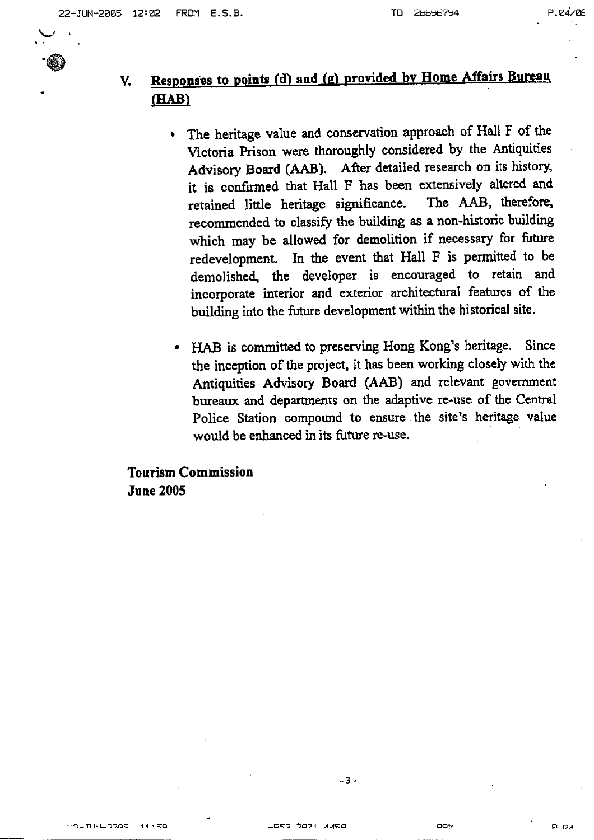Responses to points (d) and (g) provided by Home Affairs Bureau  $\mathbf{V}$ (HAB)

- The heritage value and conservation approach of Hall F of the Victoria Prison were thoroughly considered by the Antiquities Advisory Board (AAB). After detailed research on its history, it is confirmed that Hall F has been extensively altered and retained little heritage significance. The AAB, therefore, recommended to classify the building as a non-historic building which may be allowed for demolition if necessary for future redevelopment. In the event that Hall F is permitted to be demolished, the developer is encouraged to retain and incorporate interior and exterior architectural features of the building into the future development within the historical site.
- HAB is committed to preserving Hong Kong's heritage. Since the inception of the project, it has been working closely with the Antiquities Advisory Board (AAB) and relevant government bureaux and departments on the adaptive re-use of the Central Police Station compound to ensure the site's heritage value would be enhanced in its future re-use.

**Tourism Commission June 2005** 

 $-3-$